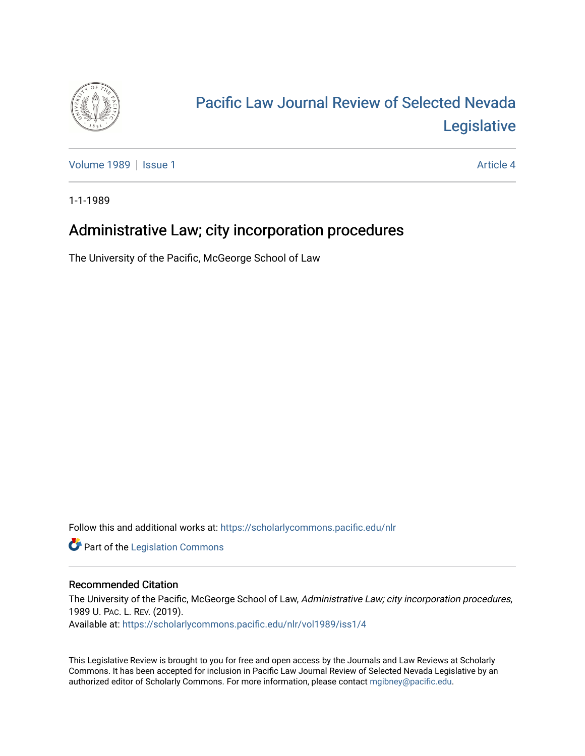

# [Pacific Law Journal Review of Selected Nevada](https://scholarlycommons.pacific.edu/nlr)  [Legislative](https://scholarlycommons.pacific.edu/nlr)

[Volume 1989](https://scholarlycommons.pacific.edu/nlr/vol1989) | [Issue 1](https://scholarlycommons.pacific.edu/nlr/vol1989/iss1) Article 4

1-1-1989

## Administrative Law; city incorporation procedures

The University of the Pacific, McGeorge School of Law

Follow this and additional works at: [https://scholarlycommons.pacific.edu/nlr](https://scholarlycommons.pacific.edu/nlr?utm_source=scholarlycommons.pacific.edu%2Fnlr%2Fvol1989%2Fiss1%2F4&utm_medium=PDF&utm_campaign=PDFCoverPages) 

**Part of the [Legislation Commons](http://network.bepress.com/hgg/discipline/859?utm_source=scholarlycommons.pacific.edu%2Fnlr%2Fvol1989%2Fiss1%2F4&utm_medium=PDF&utm_campaign=PDFCoverPages)** 

### Recommended Citation

The University of the Pacific, McGeorge School of Law, Administrative Law; city incorporation procedures, 1989 U. PAC. L. REV. (2019). Available at: [https://scholarlycommons.pacific.edu/nlr/vol1989/iss1/4](https://scholarlycommons.pacific.edu/nlr/vol1989/iss1/4?utm_source=scholarlycommons.pacific.edu%2Fnlr%2Fvol1989%2Fiss1%2F4&utm_medium=PDF&utm_campaign=PDFCoverPages) 

This Legislative Review is brought to you for free and open access by the Journals and Law Reviews at Scholarly Commons. It has been accepted for inclusion in Pacific Law Journal Review of Selected Nevada Legislative by an authorized editor of Scholarly Commons. For more information, please contact [mgibney@pacific.edu](mailto:mgibney@pacific.edu).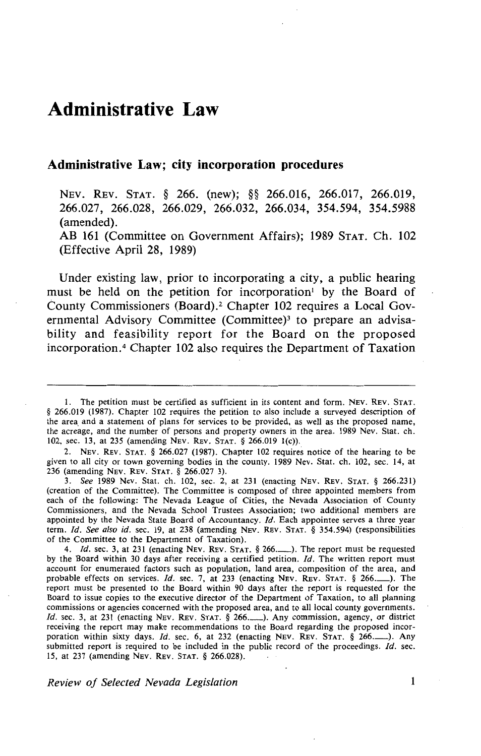### **Administrative Law**

#### **Administrative Law; city incorporation procedures**

NEv. REv. STAT. § 266. (new); §§ 266.016, 266.017, 266.019, 266.027' 266.028, 266.029, 266.032, 266.034, 354.594, 354.5988 (amended).

AB 161 (Committee on Government Affairs); 1989 STAT. Ch. 102 (Effective April 28, 1989)

Under existing law, prior to incorporating a city, a public hearing must be held on the petition for incorporation<sup>1</sup> by the Board of County Commissioners (Board).<sup>2</sup> Chapter 102 requires a Local Governmental Advisory Committee (Committee)<sup>3</sup> to prepare an advisability and feasibility report for the Board on the proposed incorporation. 4 Chapter 102 also requires the Department of Taxation

2. NEv. REv. STAT. § 266.027 (1987). Chapter 102 requires notice of the hearing to be given to all city or town governing bodies in the county. 1989 Nev. Stat. ch. 102, sec. 14, at 236 (amending NEv. REv. STAT. § 266.027 3).

3. *See* 1989 Nev. Stat. ch. 102, sec. 2, at 231 (enacting NEv. REv. STAT. § 266.231) (creation of the Committee). The Committee is composed of three appointed members from each of the following: The Nevada League of Cities, the Nevada Association of County Commissioners, and the Nevada School Trustees Association; two additional members are appointed by the Nevada State Board of Accountancy. *!d.* Each appointee serves a three year term. *!d. See also id.* sec. 19, at 238 (amending NEv. REv. STAT. § 354.594) (responsibilities of the Committee to the Department of Taxation).

4. *Id.* sec. 3, at 231 (enacting NEV. REV. STAT. § 266..........). The report must be requested by the Board within 30 days after receiving a certified petition. *!d.* The written report must account for enumerated factors such as population, land area, composition of the area, and probable effects on services. *Id.* sec. 7, at 233 (enacting Nev. Rev. STAT. § 266..........). The report must be presented to the Board within 90 days after the report is requested for the Board to issue copies to the executive director of the Department of Taxation, to all planning commissions or agencies concerned with the proposed area, and to all local county governments. *Id.* sec. 3, at 231 (enacting NEV. REV. STAT. § 266..........). Any commission, agency, or district receiving the report may make recommendations to the Board regarding the proposed incorporation within sixty days. *Id.* sec. 6, at 232 (enacting NEV. REV. STAT. § 266..........). Any submitted report is required to be included in the public record of the proceedings. *!d.* sec. 15, at 237 (amending NEv. REv. STAT. § 266.028).

*Review of Selected Nevada Legislation* 

 $\mathbf{1}$ 

I. The petition must be certified as sufficient in its content and form. NEv. REv. STAT. § 266.019 (1987). Chapter 102 requires the petition to also include a surveyed description of the area and a statement of plans for services to be provided, as well as the proposed name, the acreage, and the number of persons and property owners in the area. 1989 Nev. Stat. ch. 102, sec. 13, at 235 (amending NEv. REv. STAT. § 266.019 1(c)).